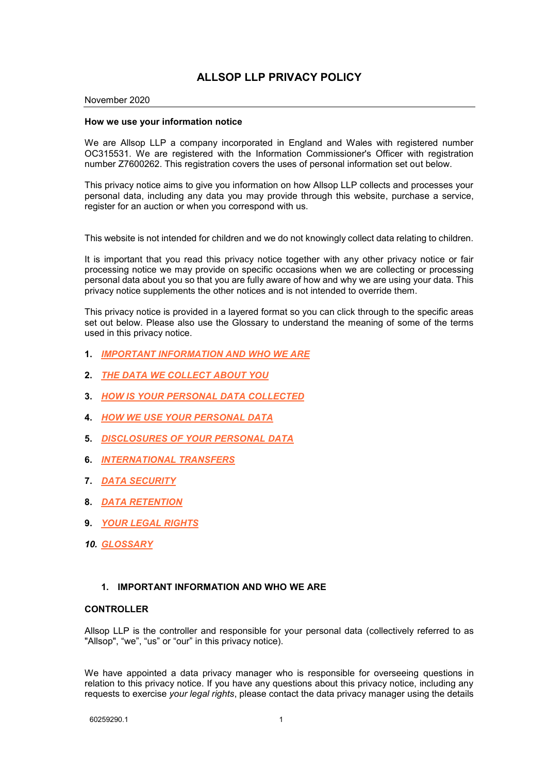# **ALLSOP LLP PRIVACY POLICY**

#### November 2020

#### **How we use your information notice**

We are Allsop LLP a company incorporated in England and Wales with registered number OC315531. We are registered with the Information Commissioner's Officer with registration number Z7600262. This registration covers the uses of personal information set out below.

This privacy notice aims to give you information on how Allsop LLP collects and processes your personal data, including any data you may provide through this website, purchase a service, register for an auction or when you correspond with us.

This website is not intended for children and we do not knowingly collect data relating to children.

It is important that you read this privacy notice together with any other privacy notice or fair processing notice we may provide on specific occasions when we are collecting or processing personal data about you so that you are fully aware of how and why we are using your data. This privacy notice supplements the other notices and is not intended to override them.

This privacy notice is provided in a layered format so you can click through to the specific areas set out below. Please also use the Glossary to understand the meaning of some of the terms used in this privacy notice.

- **1.** *[IMPORTANT INFORMATION AND WHO WE ARE](#page-0-0)*
- **2.** *[THE DATA WE COLLECT ABOUT YOU](#page-1-0)*
- **3.** *[HOW IS YOUR PERSONAL DATA COLLECTED](#page-2-0)*
- **4.** *[HOW WE USE YOUR PERSONAL DATA](#page-3-0)*
- **5.** *[DISCLOSURES OF YOUR PERSONAL DATA](#page-6-0)*
- **6.** *[INTERNATIONAL TRANSFERS](#page-6-1)*
- **7.** *[DATA SECURITY](#page-7-0)*
- **8.** *[DATA RETENTION](#page-7-1)*
- **9.** *[YOUR LEGAL RIGHTS](#page-7-2)*
- *10. [GLOSSARY](#page-8-0)*

#### <span id="page-0-0"></span>**1. IMPORTANT INFORMATION AND WHO WE ARE**

## **CONTROLLER**

Allsop LLP is the controller and responsible for your personal data (collectively referred to as "Allsop", "we", "us" or "our" in this privacy notice).

We have appointed a data privacy manager who is responsible for overseeing questions in relation to this privacy notice. If you have any questions about this privacy notice, including any requests to exercise *your legal rights*, please contact the data privacy manager using the details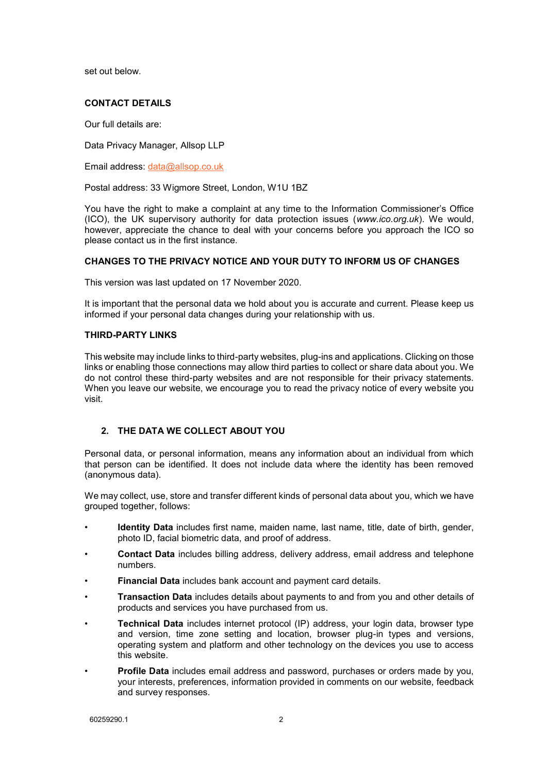set out below.

#### <span id="page-1-1"></span>**CONTACT DETAILS**

Our full details are:

Data Privacy Manager, Allsop LLP

Email address: [data@allsop.co.uk](mailto:data@allsop.co.uk?subject=Allsop%20Privacy%20Policy%20Enquiry)

Postal address: 33 Wigmore Street, London, W1U 1BZ

You have the right to make a complaint at any time to the Information Commissioner's Office (ICO), the UK supervisory authority for data protection issues (*[www.ico.org.uk](http://www.ico.org.uk/)*). We would, however, appreciate the chance to deal with your concerns before you approach the ICO so please contact us in the first instance.

#### **CHANGES TO THE PRIVACY NOTICE AND YOUR DUTY TO INFORM US OF CHANGES**

This version was last updated on 17 November 2020.

It is important that the personal data we hold about you is accurate and current. Please keep us informed if your personal data changes during your relationship with us.

#### **THIRD-PARTY LINKS**

This website may include links to third-party websites, plug-ins and applications. Clicking on those links or enabling those connections may allow third parties to collect or share data about you. We do not control these third-party websites and are not responsible for their privacy statements. When you leave our website, we encourage you to read the privacy notice of every website you visit.

## <span id="page-1-0"></span>**2. THE DATA WE COLLECT ABOUT YOU**

Personal data, or personal information, means any information about an individual from which that person can be identified. It does not include data where the identity has been removed (anonymous data).

We may collect, use, store and transfer different kinds of personal data about you, which we have grouped together, follows:

- **Identity Data** includes first name, maiden name, last name, title, date of birth, gender, photo ID, facial biometric data, and proof of address.
- **Contact Data** includes billing address, delivery address, email address and telephone numbers.
- **Financial Data** includes bank account and payment card details.
- **Transaction Data** includes details about payments to and from you and other details of products and services you have purchased from us.
- **Technical Data** includes internet protocol (IP) address, your login data, browser type and version, time zone setting and location, browser plug-in types and versions, operating system and platform and other technology on the devices you use to access this website.
- **Profile Data** includes email address and password, purchases or orders made by you, your interests, preferences, information provided in comments on our website, feedback and survey responses.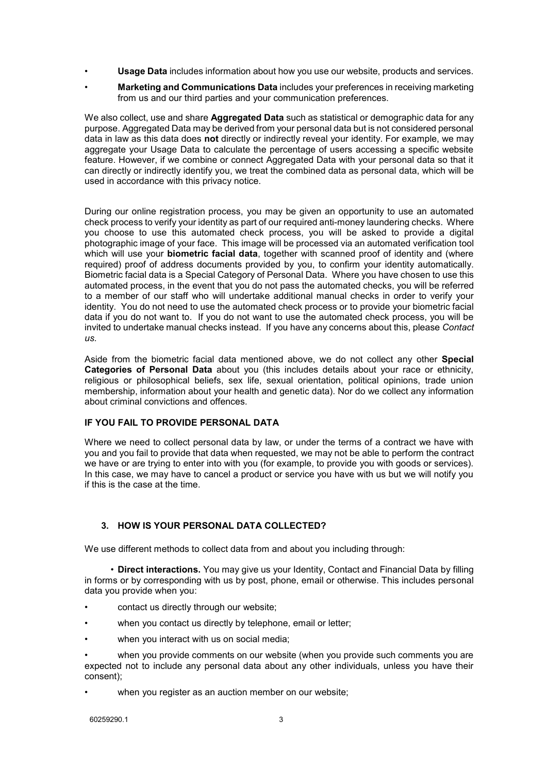- **Usage Data** includes information about how you use our website, products and services.
- **Marketing and Communications Data** includes your preferences in receiving marketing from us and our third parties and your communication preferences.

We also collect, use and share **Aggregated Data** such as statistical or demographic data for any purpose. Aggregated Data may be derived from your personal data but is not considered personal data in law as this data does **not** directly or indirectly reveal your identity. For example, we may aggregate your Usage Data to calculate the percentage of users accessing a specific website feature. However, if we combine or connect Aggregated Data with your personal data so that it can directly or indirectly identify you, we treat the combined data as personal data, which will be used in accordance with this privacy notice.

During our online registration process, you may be given an opportunity to use an automated check process to verify your identity as part of our required anti-money laundering checks. Where you choose to use this automated check process, you will be asked to provide a digital photographic image of your face. This image will be processed via an automated verification tool which will use your **biometric facial data**, together with scanned proof of identity and (where required) proof of address documents provided by you, to confirm your identity automatically. Biometric facial data is a Special Category of Personal Data. Where you have chosen to use this automated process, in the event that you do not pass the automated checks, you will be referred to a member of our staff who will undertake additional manual checks in order to verify your identity. You do not need to use the automated check process or to provide your biometric facial data if you do not want to. If you do not want to use the automated check process, you will be invited to undertake manual checks instead. If you have any concerns about this, please *[Contact](#page-1-1)  [us.](#page-1-1)*

Aside from the biometric facial data mentioned above, we do not collect any other **Special Categories of Personal Data** about you (this includes details about your race or ethnicity, religious or philosophical beliefs, sex life, sexual orientation, political opinions, trade union membership, information about your health and genetic data). Nor do we collect any information about criminal convictions and offences.

#### **IF YOU FAIL TO PROVIDE PERSONAL DATA**

Where we need to collect personal data by law, or under the terms of a contract we have with you and you fail to provide that data when requested, we may not be able to perform the contract we have or are trying to enter into with you (for example, to provide you with goods or services). In this case, we may have to cancel a product or service you have with us but we will notify you if this is the case at the time.

## <span id="page-2-0"></span>**3. HOW IS YOUR PERSONAL DATA COLLECTED?**

We use different methods to collect data from and about you including through:

• **Direct interactions.** You may give us your Identity, Contact and Financial Data by filling in forms or by corresponding with us by post, phone, email or otherwise. This includes personal data you provide when you:

- contact us directly through our website;
- when you contact us directly by telephone, email or letter;
- when you interact with us on social media:

• when you provide comments on our website (when you provide such comments you are expected not to include any personal data about any other individuals, unless you have their consent);

when you register as an auction member on our website;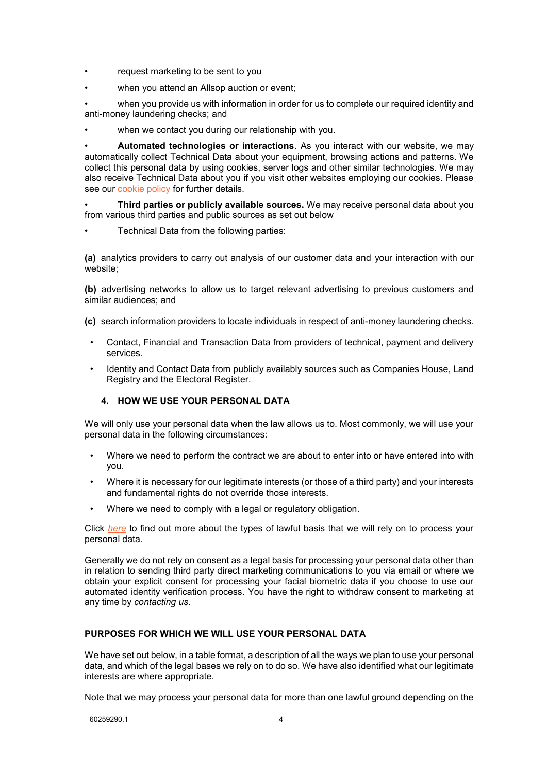- request marketing to be sent to you
- when you attend an Allsop auction or event;

• when you provide us with information in order for us to complete our required identity and anti-money laundering checks; and

when we contact you during our relationship with you.

• **Automated technologies or interactions**. As you interact with our website, we may automatically collect Technical Data about your equipment, browsing actions and patterns. We collect this personal data by using cookies, server logs and other similar technologies. We may also receive Technical Data about you if you visit other websites employing our cookies. Please see our [cookie policy](#page-9-0) for further details.

• **Third parties or publicly available sources.** We may receive personal data about you from various third parties and public sources as set out below

• Technical Data from the following parties:

**(a)** analytics providers to carry out analysis of our customer data and your interaction with our website;

**(b)** advertising networks to allow us to target relevant advertising to previous customers and similar audiences; and

**(c)** search information providers to locate individuals in respect of anti-money laundering checks.

- Contact, Financial and Transaction Data from providers of technical, payment and delivery services.
- Identity and Contact Data from publicly availably sources such as Companies House, Land Registry and the Electoral Register.

## <span id="page-3-0"></span>**4. HOW WE USE YOUR PERSONAL DATA**

We will only use your personal data when the law allows us to. Most commonly, we will use your personal data in the following circumstances:

- Where we need to perform the contract we are about to enter into or have entered into with you.
- Where it is necessary for our legitimate interests (or those of a third party) and your interests and fundamental rights do not override those interests.
- Where we need to comply with a legal or regulatory obligation.

Click *[here](#page-8-0)* to find out more about the types of lawful basis that we will rely on to process your personal data.

Generally we do not rely on consent as a legal basis for processing your personal data other than in relation to sending third party direct marketing communications to you via email or where we obtain your explicit consent for processing your facial biometric data if you choose to use our automated identity verification process. You have the right to withdraw consent to marketing at any time by *[contacting us](#page-1-1)*.

## **PURPOSES FOR WHICH WE WILL USE YOUR PERSONAL DATA**

We have set out below, in a table format, a description of all the ways we plan to use your personal data, and which of the legal bases we rely on to do so. We have also identified what our legitimate interests are where appropriate.

Note that we may process your personal data for more than one lawful ground depending on the

60259290.1 4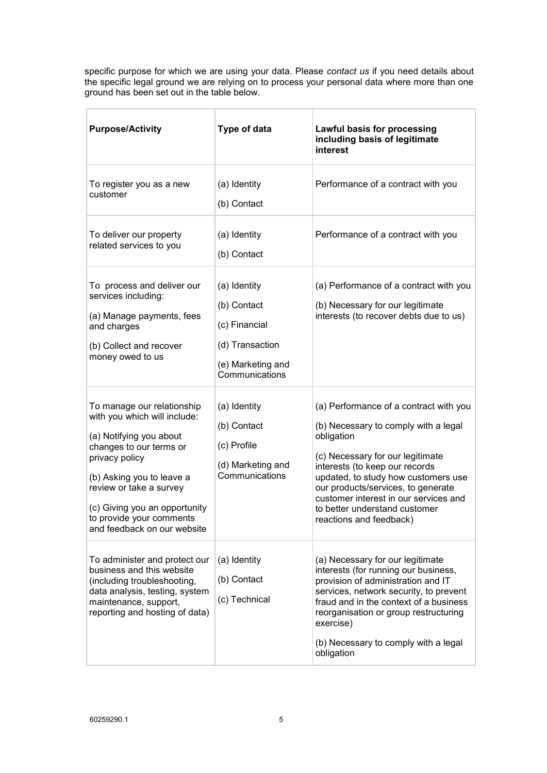specific purpose for which we are using your data. Please *[contact us](#page-1-1)* if you need details about the specific legal ground we are relying on to process your personal data where more than one ground has been set out in the table below.

| <b>Purpose/Activity</b>                                                                                                                                                                                                                                                                | Type of data                                                                                           | Lawful basis for processing<br>including basis of legitimate<br>interest                                                                                                                                                                                                                                                                             |
|----------------------------------------------------------------------------------------------------------------------------------------------------------------------------------------------------------------------------------------------------------------------------------------|--------------------------------------------------------------------------------------------------------|------------------------------------------------------------------------------------------------------------------------------------------------------------------------------------------------------------------------------------------------------------------------------------------------------------------------------------------------------|
| To register you as a new<br>customer                                                                                                                                                                                                                                                   | (a) Identity<br>(b) Contact                                                                            | Performance of a contract with you                                                                                                                                                                                                                                                                                                                   |
| To deliver our property<br>related services to you                                                                                                                                                                                                                                     | (a) Identity<br>(b) Contact                                                                            | Performance of a contract with you                                                                                                                                                                                                                                                                                                                   |
| To process and deliver our<br>services including:<br>(a) Manage payments, fees<br>and charges<br>(b) Collect and recover<br>money owed to us                                                                                                                                           | (a) Identity<br>(b) Contact<br>(c) Financial<br>(d) Transaction<br>(e) Marketing and<br>Communications | (a) Performance of a contract with you<br>(b) Necessary for our legitimate<br>interests (to recover debts due to us)                                                                                                                                                                                                                                 |
| To manage our relationship<br>with you which will include:<br>(a) Notifying you about<br>changes to our terms or<br>privacy policy<br>(b) Asking you to leave a<br>review or take a survey<br>(c) Giving you an opportunity<br>to provide your comments<br>and feedback on our website | (a) Identity<br>(b) Contact<br>(c) Profile<br>(d) Marketing and<br>Communications                      | (a) Performance of a contract with you<br>(b) Necessary to comply with a legal<br>obligation<br>(c) Necessary for our legitimate<br>interests (to keep our records<br>updated, to study how customers use<br>our products/services, to generate<br>customer interest in our services and<br>to better understand customer<br>reactions and feedback) |
| To administer and protect our<br>business and this website<br>(including troubleshooting,<br>data analysis, testing, system<br>maintenance, support,<br>reporting and hosting of data)                                                                                                 | (a) Identity<br>(b) Contact<br>(c) Technical                                                           | (a) Necessary for our legitimate<br>interests (for running our business,<br>provision of administration and IT<br>services, network security, to prevent<br>fraud and in the context of a business<br>reorganisation or group restructuring<br>exercise)<br>(b) Necessary to comply with a legal<br>obligation                                       |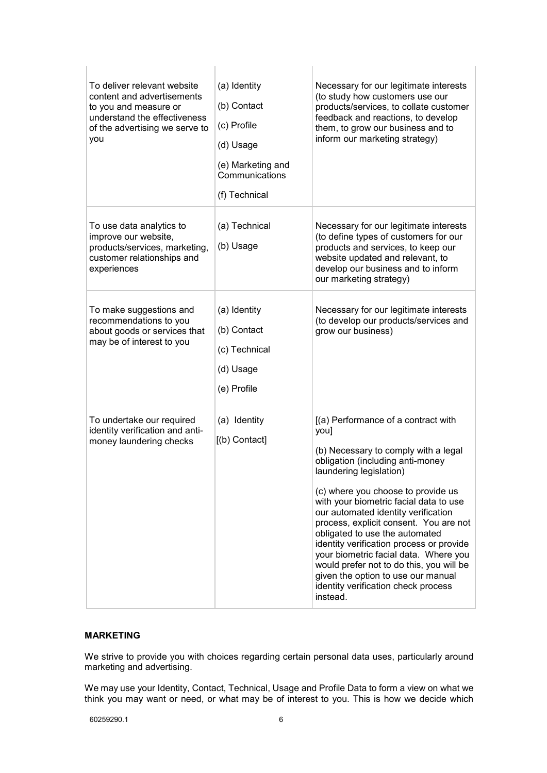| To deliver relevant website<br>content and advertisements<br>to you and measure or<br>understand the effectiveness<br>of the advertising we serve to<br>you | (a) Identity<br>(b) Contact<br>(c) Profile<br>(d) Usage<br>(e) Marketing and<br>Communications<br>(f) Technical | Necessary for our legitimate interests<br>(to study how customers use our<br>products/services, to collate customer<br>feedback and reactions, to develop<br>them, to grow our business and to<br>inform our marketing strategy)                                                                                                                                                                                                                                                                                                                                                |
|-------------------------------------------------------------------------------------------------------------------------------------------------------------|-----------------------------------------------------------------------------------------------------------------|---------------------------------------------------------------------------------------------------------------------------------------------------------------------------------------------------------------------------------------------------------------------------------------------------------------------------------------------------------------------------------------------------------------------------------------------------------------------------------------------------------------------------------------------------------------------------------|
| To use data analytics to<br>improve our website,<br>products/services, marketing,<br>customer relationships and<br>experiences                              | (a) Technical<br>(b) Usage                                                                                      | Necessary for our legitimate interests<br>(to define types of customers for our<br>products and services, to keep our<br>website updated and relevant, to<br>develop our business and to inform<br>our marketing strategy)                                                                                                                                                                                                                                                                                                                                                      |
| To make suggestions and<br>recommendations to you<br>about goods or services that<br>may be of interest to you                                              | (a) Identity<br>(b) Contact<br>(c) Technical<br>(d) Usage<br>(e) Profile                                        | Necessary for our legitimate interests<br>(to develop our products/services and<br>grow our business)                                                                                                                                                                                                                                                                                                                                                                                                                                                                           |
| To undertake our required<br>identity verification and anti-<br>money laundering checks                                                                     | (a) Identity<br>[(b) Contact]                                                                                   | [(a) Performance of a contract with<br>you]<br>(b) Necessary to comply with a legal<br>obligation (including anti-money<br>laundering legislation)<br>(c) where you choose to provide us<br>with your biometric facial data to use<br>our automated identity verification<br>process, explicit consent. You are not<br>obligated to use the automated<br>identity verification process or provide<br>your biometric facial data. Where you<br>would prefer not to do this, you will be<br>given the option to use our manual<br>identity verification check process<br>instead. |

## **MARKETING**

We strive to provide you with choices regarding certain personal data uses, particularly around marketing and advertising.

We may use your Identity, Contact, Technical, Usage and Profile Data to form a view on what we think you may want or need, or what may be of interest to you. This is how we decide which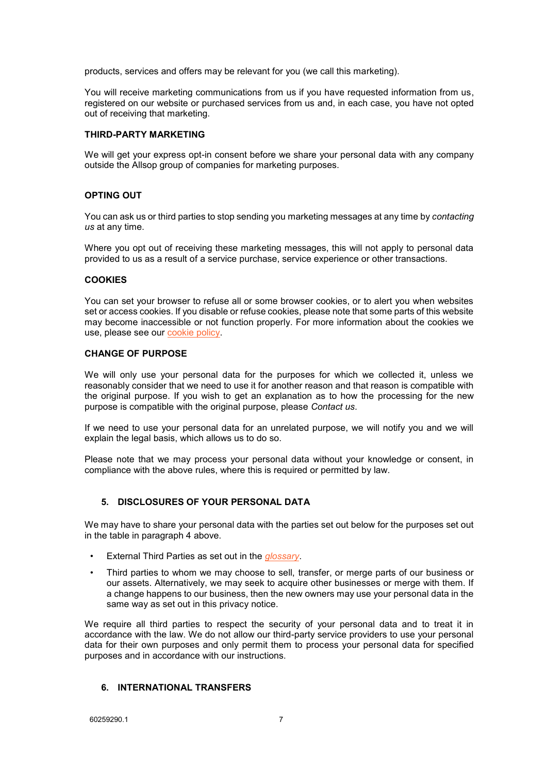products, services and offers may be relevant for you (we call this marketing).

You will receive marketing communications from us if you have requested information from us, registered on our website or purchased services from us and, in each case, you have not opted out of receiving that marketing.

#### **THIRD-PARTY MARKETING**

We will get your express opt-in consent before we share your personal data with any company outside the Allsop group of companies for marketing purposes.

## **OPTING OUT**

You can ask us or third parties to stop sending you marketing messages at any time by *[contacting](#page-1-1)  [us](#page-1-1)* at any time.

Where you opt out of receiving these marketing messages, this will not apply to personal data provided to us as a result of a service purchase, service experience or other transactions.

## **COOKIES**

You can set your browser to refuse all or some browser cookies, or to alert you when websites set or access cookies. If you disable or refuse cookies, please note that some parts of this website may become inaccessible or not function properly. For more information about the cookies we use, please see our [cookie policy.](#page-8-1)

#### **CHANGE OF PURPOSE**

We will only use your personal data for the purposes for which we collected it, unless we reasonably consider that we need to use it for another reason and that reason is compatible with the original purpose. If you wish to get an explanation as to how the processing for the new purpose is compatible with the original purpose, please *[Contact us](#page-1-1)*.

If we need to use your personal data for an unrelated purpose, we will notify you and we will explain the legal basis, which allows us to do so.

Please note that we may process your personal data without your knowledge or consent, in compliance with the above rules, where this is required or permitted by law.

#### <span id="page-6-0"></span>**5. DISCLOSURES OF YOUR PERSONAL DATA**

We may have to share your personal data with the parties set out below for the purposes set out in the table in paragraph 4 above.

- External Third Parties as set out in the *[glossary](#page-8-1)*.
- Third parties to whom we may choose to sell, transfer, or merge parts of our business or our assets. Alternatively, we may seek to acquire other businesses or merge with them. If a change happens to our business, then the new owners may use your personal data in the same way as set out in this privacy notice.

We require all third parties to respect the security of your personal data and to treat it in accordance with the law. We do not allow our third-party service providers to use your personal data for their own purposes and only permit them to process your personal data for specified purposes and in accordance with our instructions.

## <span id="page-6-1"></span>**6. INTERNATIONAL TRANSFERS**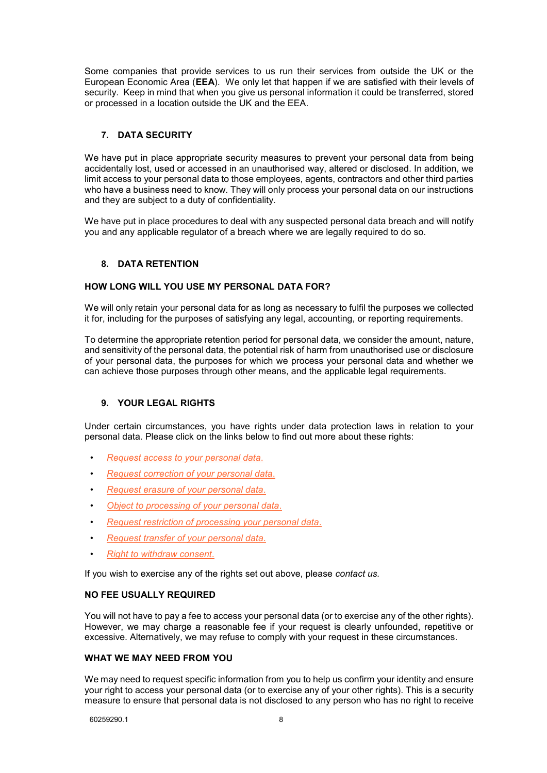Some companies that provide services to us run their services from outside the UK or the European Economic Area (**EEA**). We only let that happen if we are satisfied with their levels of security. Keep in mind that when you give us personal information it could be transferred, stored or processed in a location outside the UK and the EEA.

## <span id="page-7-0"></span>**7. DATA SECURITY**

We have put in place appropriate security measures to prevent your personal data from being accidentally lost, used or accessed in an unauthorised way, altered or disclosed. In addition, we limit access to your personal data to those employees, agents, contractors and other third parties who have a business need to know. They will only process your personal data on our instructions and they are subject to a duty of confidentiality.

We have put in place procedures to deal with any suspected personal data breach and will notify you and any applicable regulator of a breach where we are legally required to do so.

## <span id="page-7-1"></span>**8. DATA RETENTION**

## **HOW LONG WILL YOU USE MY PERSONAL DATA FOR?**

We will only retain your personal data for as long as necessary to fulfil the purposes we collected it for, including for the purposes of satisfying any legal, accounting, or reporting requirements.

To determine the appropriate retention period for personal data, we consider the amount, nature, and sensitivity of the personal data, the potential risk of harm from unauthorised use or disclosure of your personal data, the purposes for which we process your personal data and whether we can achieve those purposes through other means, and the applicable legal requirements.

## <span id="page-7-2"></span>**9. YOUR LEGAL RIGHTS**

Under certain circumstances, you have rights under data protection laws in relation to your personal data. Please click on the links below to find out more about these rights:

- *[Request access to your personal data](#page-8-1)*.
- *[Request correction of your personal data](#page-9-1)*.
- *[Request erasure of your personal data](#page-9-2)*.
- *[Object to processing of your personal data](#page-9-3)*.
- *[Request restriction of processing your personal data](#page-9-4)*.
- *[Request transfer of your personal data](#page-9-5)*.
- *[Right to withdraw consent](#page-9-6)*.

If you wish to exercise any of the rights set out above, please *[contact us.](#page-1-1)* 

#### **NO FEE USUALLY REQUIRED**

You will not have to pay a fee to access your personal data (or to exercise any of the other rights). However, we may charge a reasonable fee if your request is clearly unfounded, repetitive or excessive. Alternatively, we may refuse to comply with your request in these circumstances.

## **WHAT WE MAY NEED FROM YOU**

We may need to request specific information from you to help us confirm your identity and ensure your right to access your personal data (or to exercise any of your other rights). This is a security measure to ensure that personal data is not disclosed to any person who has no right to receive

60259290.1 8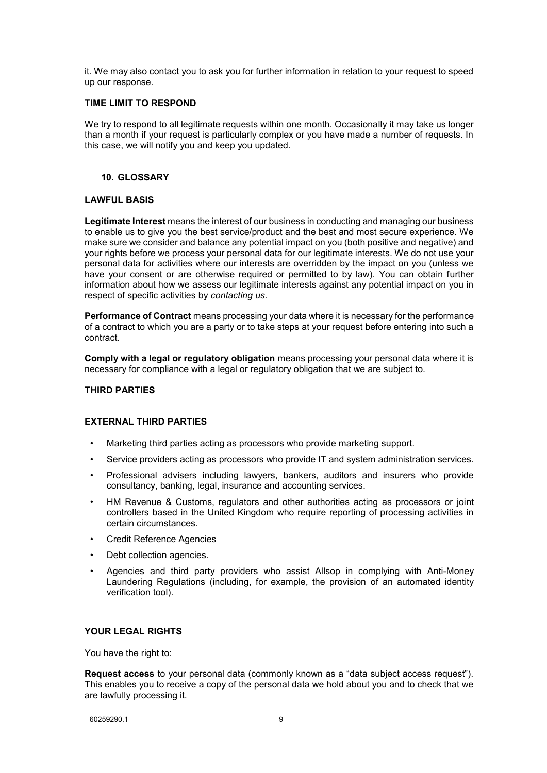it. We may also contact you to ask you for further information in relation to your request to speed up our response.

#### **TIME LIMIT TO RESPOND**

We try to respond to all legitimate requests within one month. Occasionally it may take us longer than a month if your request is particularly complex or you have made a number of requests. In this case, we will notify you and keep you updated.

## <span id="page-8-0"></span>**10. GLOSSARY**

## **LAWFUL BASIS**

**Legitimate Interest** means the interest of our business in conducting and managing our business to enable us to give you the best service/product and the best and most secure experience. We make sure we consider and balance any potential impact on you (both positive and negative) and your rights before we process your personal data for our legitimate interests. We do not use your personal data for activities where our interests are overridden by the impact on you (unless we have your consent or are otherwise required or permitted to by law). You can obtain further information about how we assess our legitimate interests against any potential impact on you in respect of specific activities by *[contacting](#page-1-1) us.*

**Performance of Contract** means processing your data where it is necessary for the performance of a contract to which you are a party or to take steps at your request before entering into such a contract.

**Comply with a legal or regulatory obligation** means processing your personal data where it is necessary for compliance with a legal or regulatory obligation that we are subject to.

## **THIRD PARTIES**

## **EXTERNAL THIRD PARTIES**

- Marketing third parties acting as processors who provide marketing support.
- Service providers acting as processors who provide IT and system administration services.
- Professional advisers including lawyers, bankers, auditors and insurers who provide consultancy, banking, legal, insurance and accounting services.
- HM Revenue & Customs, regulators and other authorities acting as processors or joint controllers based in the United Kingdom who require reporting of processing activities in certain circumstances.
- Credit Reference Agencies
- Debt collection agencies.
- Agencies and third party providers who assist Allsop in complying with Anti-Money Laundering Regulations (including, for example, the provision of an automated identity verification tool).

## **YOUR LEGAL RIGHTS**

You have the right to:

<span id="page-8-1"></span>**Request access** to your personal data (commonly known as a "data subject access request"). This enables you to receive a copy of the personal data we hold about you and to check that we are lawfully processing it.

60259290.1 9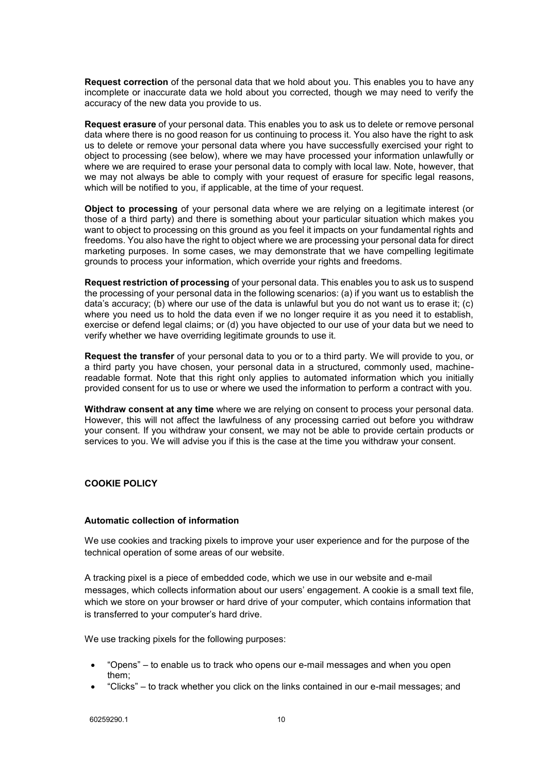<span id="page-9-1"></span>**Request correction** of the personal data that we hold about you. This enables you to have any incomplete or inaccurate data we hold about you corrected, though we may need to verify the accuracy of the new data you provide to us.

<span id="page-9-2"></span>**Request erasure** of your personal data. This enables you to ask us to delete or remove personal data where there is no good reason for us continuing to process it. You also have the right to ask us to delete or remove your personal data where you have successfully exercised your right to object to processing (see below), where we may have processed your information unlawfully or where we are required to erase your personal data to comply with local law. Note, however, that we may not always be able to comply with your request of erasure for specific legal reasons, which will be notified to you, if applicable, at the time of your request.

<span id="page-9-3"></span>**Object to processing** of your personal data where we are relying on a legitimate interest (or those of a third party) and there is something about your particular situation which makes you want to object to processing on this ground as you feel it impacts on your fundamental rights and freedoms. You also have the right to object where we are processing your personal data for direct marketing purposes. In some cases, we may demonstrate that we have compelling legitimate grounds to process your information, which override your rights and freedoms.

<span id="page-9-4"></span>**Request restriction of processing** of your personal data. This enables you to ask us to suspend the processing of your personal data in the following scenarios: (a) if you want us to establish the data's accuracy; (b) where our use of the data is unlawful but you do not want us to erase it; (c) where you need us to hold the data even if we no longer require it as you need it to establish, exercise or defend legal claims; or (d) you have objected to our use of your data but we need to verify whether we have overriding legitimate grounds to use it.

<span id="page-9-5"></span>**Request the transfer** of your personal data to you or to a third party. We will provide to you, or a third party you have chosen, your personal data in a structured, commonly used, machinereadable format. Note that this right only applies to automated information which you initially provided consent for us to use or where we used the information to perform a contract with you.

<span id="page-9-6"></span>**Withdraw consent at any time** where we are relying on consent to process your personal data. However, this will not affect the lawfulness of any processing carried out before you withdraw your consent. If you withdraw your consent, we may not be able to provide certain products or services to you. We will advise you if this is the case at the time you withdraw your consent.

## <span id="page-9-0"></span>**COOKIE POLICY**

#### **Automatic collection of information**

We use cookies and tracking pixels to improve your user experience and for the purpose of the technical operation of some areas of our website.

A tracking pixel is a piece of embedded code, which we use in our website and e-mail messages, which collects information about our users' engagement. A cookie is a small text file, which we store on your browser or hard drive of your computer, which contains information that is transferred to your computer's hard drive.

We use tracking pixels for the following purposes:

- "Opens" to enable us to track who opens our e-mail messages and when you open them;
- "Clicks" to track whether you click on the links contained in our e-mail messages; and